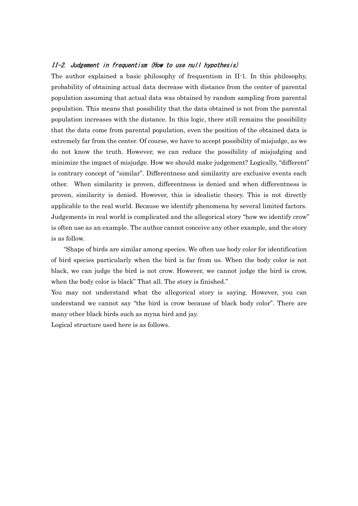## II-2. Judgement in frequentism (How to use null hypothesis)

The author explained a basic philosophy of frequentism in II-1. In this philosophy, probability of obtaining actual data decrease with distance from the center of parental population assuming that actual data was obtained by random sampling from parental population. This means that possibility that the data obtained is not from the parental population increases with the distance. In this logic, there still remains the possibility that the data come from parental population, even the position of the obtained data is extremely far from the center. Of course, we have to accept possibility of misjudge, as we do not know the truth. However, we can reduce the possibility of misjudging and minimize the impact of misjudge. How we should make judgement? Logically, "different" is contrary concept of "similar". Differentness and similarity are exclusive events each other. When similarity is proven, differentness is denied and when differentness is proven, similarity is denied. However, this is idealistic theory. This is not directly applicable to the real world. Because we identify phenomena by several limited factors. Judgements in real world is complicated and the allegorical story "how we identify crow" is often use as an example. The author cannot conceive any other example, and the story is as follow.

 "Shape of birds are similar among species. We often use body color for identification of bird species particularly when the bird is far from us. When the body color is not black, we can judge the bird is not crow. However, we cannot judge the bird is crow, when the body color is black" That all. The story is finished."

You may not understand what the allegorical story is saying. However, you can understand we cannot say "the bird is crow because of black body color". There are many other black birds such as myna bird and jay.

Logical structure used here is as follows.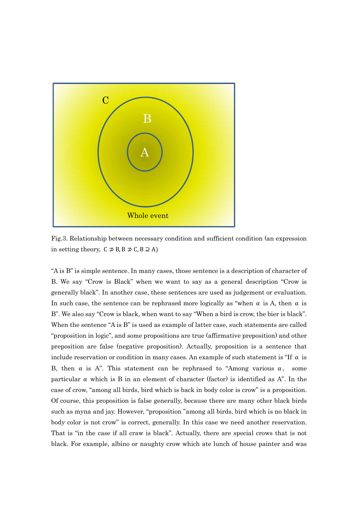

Fig.3. Relationship between necessary condition and sufficient condition (an expression in setting theory,  $C \not\supseteq B$ ,  $B \not\supseteq C$ ,  $B \supseteq A$ )

"A is B" is simple sentence. In many cases, those sentence is a description of character of B. We say "Crow is Black" when we want to say as a general description "Crow is generally black". In another case, these sentences are used as judgement or evaluation. In such case, the sentence can be rephrased more logically as "when  $\alpha$  is A, then  $\alpha$  is B". We also say "Crow is black, when want to say "When a bird is crow, the bier is black". When the sentence "A is B" is used as example of latter case, such statements are called "proposition in logic", and some propositions are true (affirmative preposition) and other preposition are false (negative proposition). Actually, proposition is a sentence that include reservation or condition in many cases. An example of such statement is "If  $\alpha$  is B, then  $\alpha$  is A". This statement can be rephrased to "Among various  $\alpha$ , some particular  $\alpha$  which is B in an element of character (factor) is identified as A". In the case of crow, "among all birds, bird which is back in body color is crow" is a proposition. Of course, this proposition is false generally, because there are many other black birds such as myna and jay. However, "proposition "among all birds, bird which is no black in body color is not crow" is correct, generally. In this case we need another reservation. That is "in the case if all craw is black". Actually, there are special crows that is not black. For example, albino or naughty crow which ate lunch of house painter and was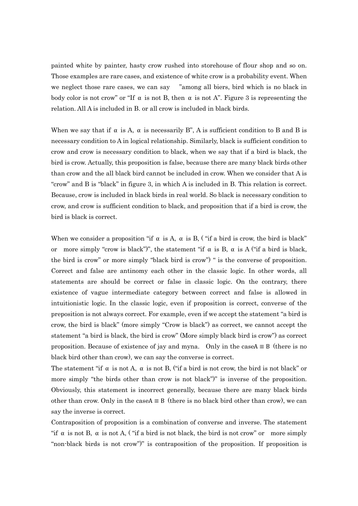painted white by painter, hasty crow rushed into storehouse of flour shop and so on. Those examples are rare cases, and existence of white crow is a probability event. When we neglect those rare cases, we can say "among all biers, bird which is no black in body color is not crow" or "If  $\alpha$  is not B, then  $\alpha$  is not A". Figure 3 is representing the relation. All A is included in B. or all crow is included in black birds.

When we say that if  $\alpha$  is A,  $\alpha$  is necessarily B", A is sufficient condition to B and B is necessary condition to A in logical relationship. Similarly, black is sufficient condition to crow and crow is necessary condition to black, when we say that if a bird is black, the bird is crow. Actually, this proposition is false, because there are many black birds other than crow and the all black bird cannot be included in crow. When we consider that A is "crow" and B is "black" in figure 3, in which A is included in B. This relation is correct. Because, crow is included in black birds in real world. So black is necessary condition to crow, and crow is sufficient condition to black, and proposition that if a bird is crow, the bird is black is correct.

When we consider a proposition "if  $\alpha$  is A,  $\alpha$  is B, ("if a bird is crow, the bird is black" or more simply "crow is black")", the statement "if  $\alpha$  is B,  $\alpha$  is A ("if a bird is black, the bird is crow" or more simply "black bird is crow") " is the converse of proposition. Correct and false are antinomy each other in the classic logic. In other words, all statements are should be correct or false in classic logic. On the contrary, there existence of vague intermediate category between correct and false is allowed in intuitionistic logic. In the classic logic, even if proposition is correct, converse of the preposition is not always correct. For example, even if we accept the statement "a bird is crow, the bird is black" (more simply "Crow is black") as correct, we cannot accept the statement "a bird is black, the bird is crow" (More simply black bird is crow") as correct proposition. Because of existence of jay and myna. Only in the caseA  $\equiv$  B (there is no black bird other than crow), we can say the converse is correct.

The statement "if  $\alpha$  is not A,  $\alpha$  is not B, ("if a bird is not crow, the bird is not black" or more simply "the birds other than crow is not black")" is inverse of the proposition. Obviously, this statement is incorrect generally, because there are many black birds other than crow. Only in the caseA  $\equiv$  B (there is no black bird other than crow), we can say the inverse is correct.

Contraposition of proposition is a combination of converse and inverse. The statement "if  $\alpha$  is not B,  $\alpha$  is not A, ("if a bird is not black, the bird is not crow" or more simply "non-black birds is not crow")" is contraposition of the proposition. If proposition is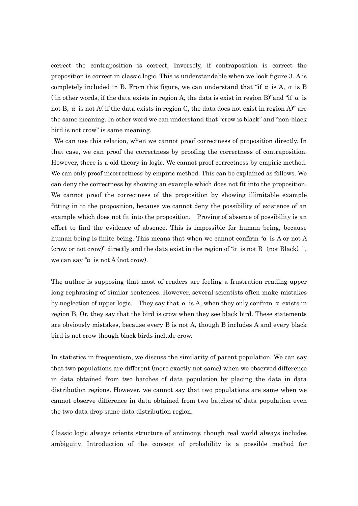correct the contraposition is correct, Inversely, if contraposition is correct the proposition is correct in classic logic. This is understandable when we look figure 3. A is completely included in B. From this figure, we can understand that "if  $\alpha$  is A,  $\alpha$  is B ( in other words, if the data exists in region A, the data is exist in region B)" and "if  $\alpha$  is not B, α is not A( if the data exists in region C, the data does not exist in region A)" are the same meaning. In other word we can understand that "crow is black" and "non-black bird is not crow" is same meaning.

We can use this relation, when we cannot proof correctness of proposition directly. In that case, we can proof the correctness by proofing the correctness of contraposition. However, there is a old theory in logic. We cannot proof correctness by empiric method. We can only proof incorrectness by empiric method. This can be explained as follows. We can deny the correctness by showing an example which does not fit into the proposition. We cannot proof the correctness of the proposition by showing illimitable example fitting in to the proposition, because we cannot deny the possibility of existence of an example which does not fit into the proposition. Proving of absence of possibility is an effort to find the evidence of absence. This is impossible for human being, because human being is finite being. This means that when we cannot confirm " $α$  is A or not A (crow or not crow)" directly and the data exist in the region of " $\alpha$  is not B (not Black)", we can say " $\alpha$  is not A (not crow).

The author is supposing that most of readers are feeling a frustration reading upper long rephrasing of similar sentences. However, several scientists often make mistakes by neglection of upper logic. They say that  $\alpha$  is A, when they only confirm  $\alpha$  exists in region B. Or, they say that the bird is crow when they see black bird. These statements are obviously mistakes, because every B is not A, though B includes A and every black bird is not crow though black birds include crow.

In statistics in frequentism, we discuss the similarity of parent population. We can say that two populations are different (more exactly not same) when we observed difference in data obtained from two batches of data population by placing the data in data distribution regions. However, we cannot say that two populations are same when we cannot observe difference in data obtained from two batches of data population even the two data drop same data distribution region.

Classic logic always orients structure of antimony, though real world always includes ambiguity. Introduction of the concept of probability is a possible method for